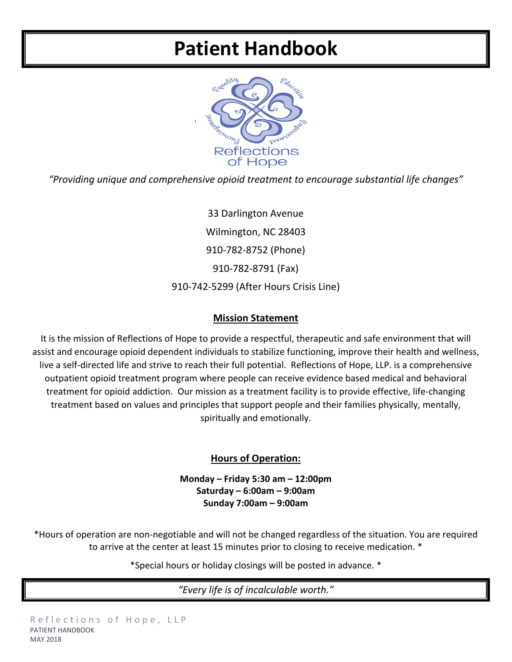# **Patient Handbook**



*"Providing unique and comprehensive opioid treatment to encourage substantial life changes"*

33 Darlington Avenue Wilmington, NC 28403 910-782-8752 (Phone) 910-782-8791 (Fax) 910-742-5299 (After Hours Crisis Line)

#### **Mission Statement**

It is the mission of Reflections of Hope to provide a respectful, therapeutic and safe environment that will assist and encourage opioid dependent individuals to stabilize functioning, improve their health and wellness, live a self-directed life and strive to reach their full potential. Reflections of Hope, LLP. is a comprehensive outpatient opioid treatment program where people can receive evidence based medical and behavioral treatment for opioid addiction. Our mission as a treatment facility is to provide effective, life-changing treatment based on values and principles that support people and their families physically, mentally, spiritually and emotionally.

### **Hours of Operation:**

**Monday – Friday 5:30 am – 12:00pm Saturday – 6:00am – 9:00am Sunday 7:00am – 9:00am**

\*Hours of operation are non-negotiable and will not be changed regardless of the situation. You are required to arrive at the center at least 15 minutes prior to closing to receive medication. \*

\*Special hours or holiday closings will be posted in advance. \*

*"Every life is of incalculable worth."*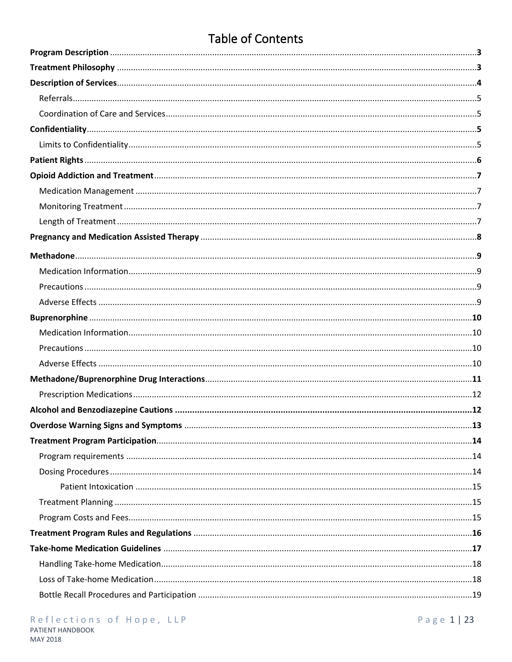# **Table of Contents**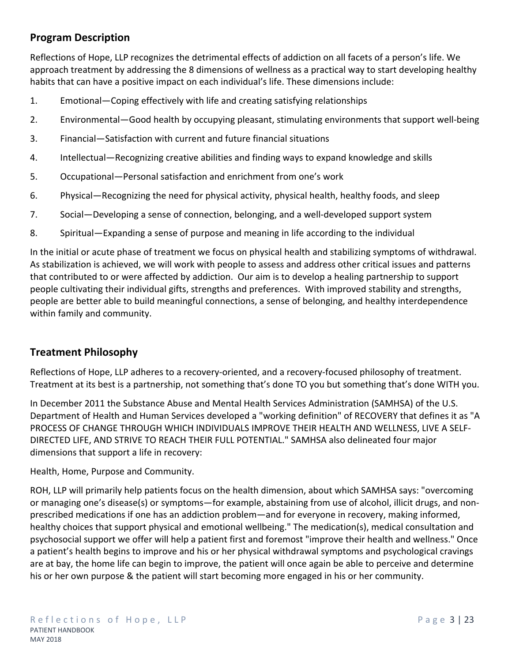# **Program Description**

Reflections of Hope, LLP recognizes the detrimental effects of addiction on all facets of a person's life. We approach treatment by addressing the 8 dimensions of wellness as a practical way to start developing healthy habits that can have a positive impact on each individual's life. These dimensions include:

- 1. Emotional—Coping effectively with life and creating satisfying relationships
- 2. Environmental—Good health by occupying pleasant, stimulating environments that support well-being
- 3. Financial—Satisfaction with current and future financial situations
- 4. Intellectual—Recognizing creative abilities and finding ways to expand knowledge and skills
- 5. Occupational—Personal satisfaction and enrichment from one's work
- 6. Physical—Recognizing the need for physical activity, physical health, healthy foods, and sleep
- 7. Social—Developing a sense of connection, belonging, and a well-developed support system
- 8. Spiritual—Expanding a sense of purpose and meaning in life according to the individual

In the initial or acute phase of treatment we focus on physical health and stabilizing symptoms of withdrawal. As stabilization is achieved, we will work with people to assess and address other critical issues and patterns that contributed to or were affected by addiction. Our aim is to develop a healing partnership to support people cultivating their individual gifts, strengths and preferences. With improved stability and strengths, people are better able to build meaningful connections, a sense of belonging, and healthy interdependence within family and community.

### **Treatment Philosophy**

Reflections of Hope, LLP adheres to a recovery-oriented, and a recovery-focused philosophy of treatment. Treatment at its best is a partnership, not something that's done TO you but something that's done WITH you.

In December 2011 the Substance Abuse and Mental Health Services Administration (SAMHSA) of the U.S. Department of Health and Human Services developed a "working definition" of RECOVERY that defines it as "A PROCESS OF CHANGE THROUGH WHICH INDIVIDUALS IMPROVE THEIR HEALTH AND WELLNESS, LIVE A SELF-DIRECTED LIFE, AND STRIVE TO REACH THEIR FULL POTENTIAL." SAMHSA also delineated four major dimensions that support a life in recovery:

Health, Home, Purpose and Community.

ROH, LLP will primarily help patients focus on the health dimension, about which SAMHSA says: "overcoming or managing one's disease(s) or symptoms—for example, abstaining from use of alcohol, illicit drugs, and nonprescribed medications if one has an addiction problem—and for everyone in recovery, making informed, healthy choices that support physical and emotional wellbeing." The medication(s), medical consultation and psychosocial support we offer will help a patient first and foremost "improve their health and wellness." Once a patient's health begins to improve and his or her physical withdrawal symptoms and psychological cravings are at bay, the home life can begin to improve, the patient will once again be able to perceive and determine his or her own purpose & the patient will start becoming more engaged in his or her community.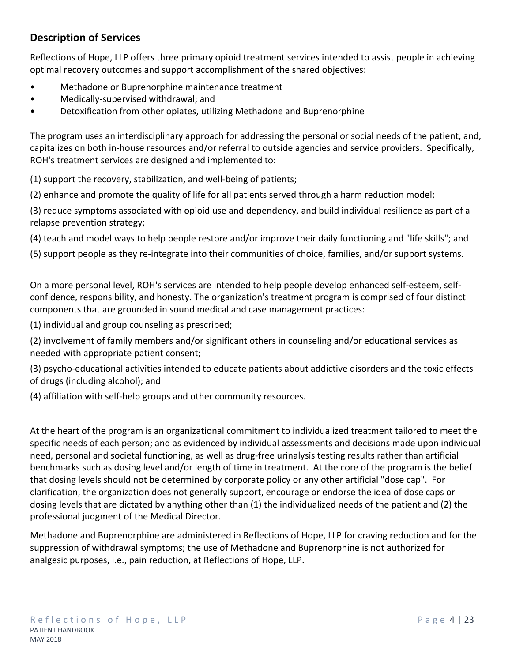# **Description of Services**

Reflections of Hope, LLP offers three primary opioid treatment services intended to assist people in achieving optimal recovery outcomes and support accomplishment of the shared objectives:

- Methadone or Buprenorphine maintenance treatment
- Medically-supervised withdrawal; and
- Detoxification from other opiates, utilizing Methadone and Buprenorphine

The program uses an interdisciplinary approach for addressing the personal or social needs of the patient, and, capitalizes on both in-house resources and/or referral to outside agencies and service providers. Specifically, ROH's treatment services are designed and implemented to:

(1) support the recovery, stabilization, and well-being of patients;

(2) enhance and promote the quality of life for all patients served through a harm reduction model;

(3) reduce symptoms associated with opioid use and dependency, and build individual resilience as part of a relapse prevention strategy;

(4) teach and model ways to help people restore and/or improve their daily functioning and "life skills"; and

(5) support people as they re-integrate into their communities of choice, families, and/or support systems.

On a more personal level, ROH's services are intended to help people develop enhanced self-esteem, selfconfidence, responsibility, and honesty. The organization's treatment program is comprised of four distinct components that are grounded in sound medical and case management practices:

(1) individual and group counseling as prescribed;

(2) involvement of family members and/or significant others in counseling and/or educational services as needed with appropriate patient consent;

(3) psycho-educational activities intended to educate patients about addictive disorders and the toxic effects of drugs (including alcohol); and

(4) affiliation with self-help groups and other community resources.

At the heart of the program is an organizational commitment to individualized treatment tailored to meet the specific needs of each person; and as evidenced by individual assessments and decisions made upon individual need, personal and societal functioning, as well as drug-free urinalysis testing results rather than artificial benchmarks such as dosing level and/or length of time in treatment. At the core of the program is the belief that dosing levels should not be determined by corporate policy or any other artificial "dose cap". For clarification, the organization does not generally support, encourage or endorse the idea of dose caps or dosing levels that are dictated by anything other than (1) the individualized needs of the patient and (2) the professional judgment of the Medical Director.

Methadone and Buprenorphine are administered in Reflections of Hope, LLP for craving reduction and for the suppression of withdrawal symptoms; the use of Methadone and Buprenorphine is not authorized for analgesic purposes, i.e., pain reduction, at Reflections of Hope, LLP.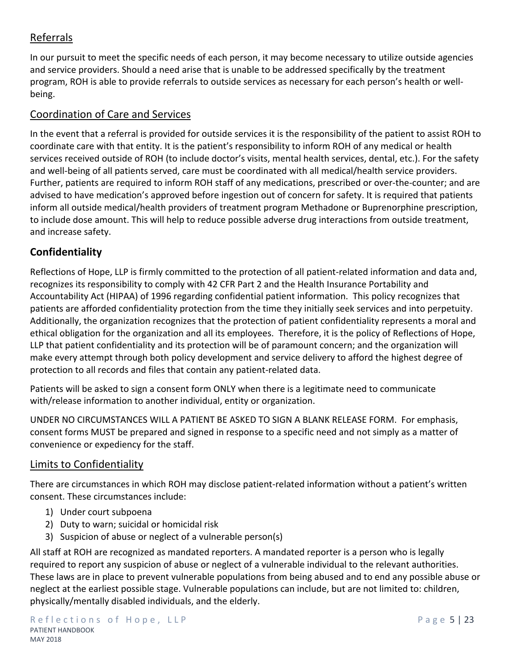# Referrals

In our pursuit to meet the specific needs of each person, it may become necessary to utilize outside agencies and service providers. Should a need arise that is unable to be addressed specifically by the treatment program, ROH is able to provide referrals to outside services as necessary for each person's health or wellbeing.

# Coordination of Care and Services

In the event that a referral is provided for outside services it is the responsibility of the patient to assist ROH to coordinate care with that entity. It is the patient's responsibility to inform ROH of any medical or health services received outside of ROH (to include doctor's visits, mental health services, dental, etc.). For the safety and well-being of all patients served, care must be coordinated with all medical/health service providers. Further, patients are required to inform ROH staff of any medications, prescribed or over-the-counter; and are advised to have medication's approved before ingestion out of concern for safety. It is required that patients inform all outside medical/health providers of treatment program Methadone or Buprenorphine prescription, to include dose amount. This will help to reduce possible adverse drug interactions from outside treatment, and increase safety.

# **Confidentiality**

Reflections of Hope, LLP is firmly committed to the protection of all patient-related information and data and, recognizes its responsibility to comply with 42 CFR Part 2 and the Health Insurance Portability and Accountability Act (HIPAA) of 1996 regarding confidential patient information. This policy recognizes that patients are afforded confidentiality protection from the time they initially seek services and into perpetuity. Additionally, the organization recognizes that the protection of patient confidentiality represents a moral and ethical obligation for the organization and all its employees. Therefore, it is the policy of Reflections of Hope, LLP that patient confidentiality and its protection will be of paramount concern; and the organization will make every attempt through both policy development and service delivery to afford the highest degree of protection to all records and files that contain any patient-related data.

Patients will be asked to sign a consent form ONLY when there is a legitimate need to communicate with/release information to another individual, entity or organization.

UNDER NO CIRCUMSTANCES WILL A PATIENT BE ASKED TO SIGN A BLANK RELEASE FORM. For emphasis, consent forms MUST be prepared and signed in response to a specific need and not simply as a matter of convenience or expediency for the staff.

# Limits to Confidentiality

There are circumstances in which ROH may disclose patient-related information without a patient's written consent. These circumstances include:

- 1) Under court subpoena
- 2) Duty to warn; suicidal or homicidal risk
- 3) Suspicion of abuse or neglect of a vulnerable person(s)

All staff at ROH are recognized as mandated reporters. A mandated reporter is a person who is legally required to report any suspicion of abuse or neglect of a vulnerable individual to the relevant authorities. These laws are in place to prevent vulnerable populations from being abused and to end any possible abuse or neglect at the earliest possible stage. Vulnerable populations can include, but are not limited to: children, physically/mentally disabled individuals, and the elderly.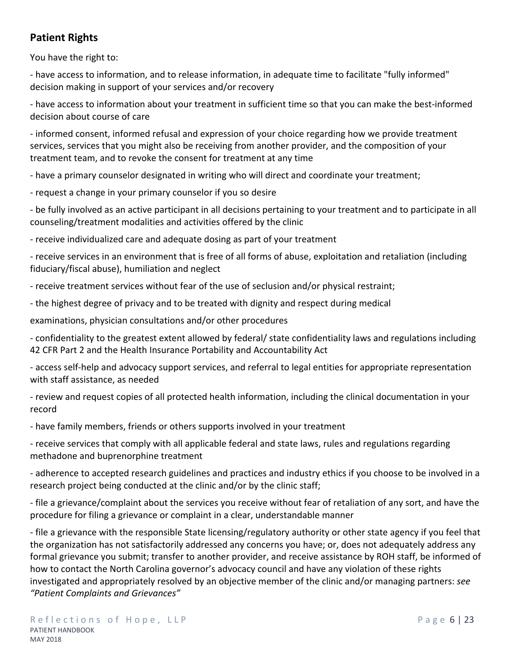# **Patient Rights**

You have the right to:

- have access to information, and to release information, in adequate time to facilitate "fully informed" decision making in support of your services and/or recovery

- have access to information about your treatment in sufficient time so that you can make the best-informed decision about course of care

- informed consent, informed refusal and expression of your choice regarding how we provide treatment services, services that you might also be receiving from another provider, and the composition of your treatment team, and to revoke the consent for treatment at any time

- have a primary counselor designated in writing who will direct and coordinate your treatment;

- request a change in your primary counselor if you so desire

- be fully involved as an active participant in all decisions pertaining to your treatment and to participate in all counseling/treatment modalities and activities offered by the clinic

- receive individualized care and adequate dosing as part of your treatment

- receive services in an environment that is free of all forms of abuse, exploitation and retaliation (including fiduciary/fiscal abuse), humiliation and neglect

- receive treatment services without fear of the use of seclusion and/or physical restraint;

- the highest degree of privacy and to be treated with dignity and respect during medical

examinations, physician consultations and/or other procedures

- confidentiality to the greatest extent allowed by federal/ state confidentiality laws and regulations including 42 CFR Part 2 and the Health Insurance Portability and Accountability Act

- access self-help and advocacy support services, and referral to legal entities for appropriate representation with staff assistance, as needed

- review and request copies of all protected health information, including the clinical documentation in your record

- have family members, friends or others supports involved in your treatment

- receive services that comply with all applicable federal and state laws, rules and regulations regarding methadone and buprenorphine treatment

- adherence to accepted research guidelines and practices and industry ethics if you choose to be involved in a research project being conducted at the clinic and/or by the clinic staff;

- file a grievance/complaint about the services you receive without fear of retaliation of any sort, and have the procedure for filing a grievance or complaint in a clear, understandable manner

- file a grievance with the responsible State licensing/regulatory authority or other state agency if you feel that the organization has not satisfactorily addressed any concerns you have; or, does not adequately address any formal grievance you submit; transfer to another provider, and receive assistance by ROH staff, be informed of how to contact the North Carolina governor's advocacy council and have any violation of these rights investigated and appropriately resolved by an objective member of the clinic and/or managing partners: *see "Patient Complaints and Grievances"*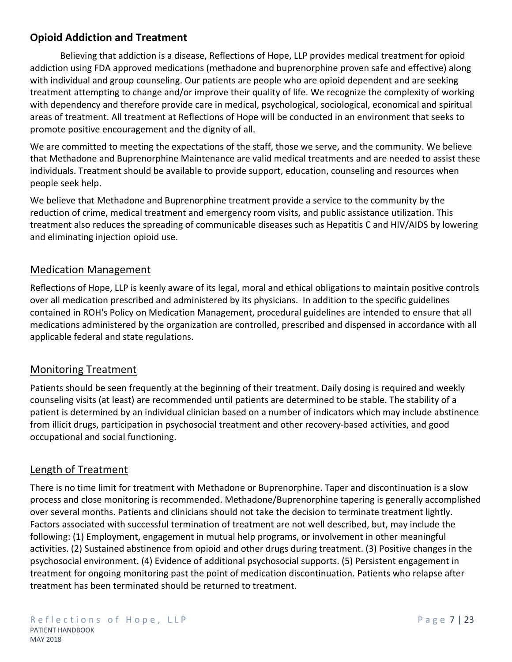# **Opioid Addiction and Treatment**

Believing that addiction is a disease, Reflections of Hope, LLP provides medical treatment for opioid addiction using FDA approved medications (methadone and buprenorphine proven safe and effective) along with individual and group counseling. Our patients are people who are opioid dependent and are seeking treatment attempting to change and/or improve their quality of life. We recognize the complexity of working with dependency and therefore provide care in medical, psychological, sociological, economical and spiritual areas of treatment. All treatment at Reflections of Hope will be conducted in an environment that seeks to promote positive encouragement and the dignity of all.

We are committed to meeting the expectations of the staff, those we serve, and the community. We believe that Methadone and Buprenorphine Maintenance are valid medical treatments and are needed to assist these individuals. Treatment should be available to provide support, education, counseling and resources when people seek help.

We believe that Methadone and Buprenorphine treatment provide a service to the community by the reduction of crime, medical treatment and emergency room visits, and public assistance utilization. This treatment also reduces the spreading of communicable diseases such as Hepatitis C and HIV/AIDS by lowering and eliminating injection opioid use.

## Medication Management

Reflections of Hope, LLP is keenly aware of its legal, moral and ethical obligations to maintain positive controls over all medication prescribed and administered by its physicians. In addition to the specific guidelines contained in ROH's Policy on Medication Management, procedural guidelines are intended to ensure that all medications administered by the organization are controlled, prescribed and dispensed in accordance with all applicable federal and state regulations.

# Monitoring Treatment

Patients should be seen frequently at the beginning of their treatment. Daily dosing is required and weekly counseling visits (at least) are recommended until patients are determined to be stable. The stability of a patient is determined by an individual clinician based on a number of indicators which may include abstinence from illicit drugs, participation in psychosocial treatment and other recovery-based activities, and good occupational and social functioning.

# Length of Treatment

There is no time limit for treatment with Methadone or Buprenorphine. Taper and discontinuation is a slow process and close monitoring is recommended. Methadone/Buprenorphine tapering is generally accomplished over several months. Patients and clinicians should not take the decision to terminate treatment lightly. Factors associated with successful termination of treatment are not well described, but, may include the following: (1) Employment, engagement in mutual help programs, or involvement in other meaningful activities. (2) Sustained abstinence from opioid and other drugs during treatment. (3) Positive changes in the psychosocial environment. (4) Evidence of additional psychosocial supports. (5) Persistent engagement in treatment for ongoing monitoring past the point of medication discontinuation. Patients who relapse after treatment has been terminated should be returned to treatment.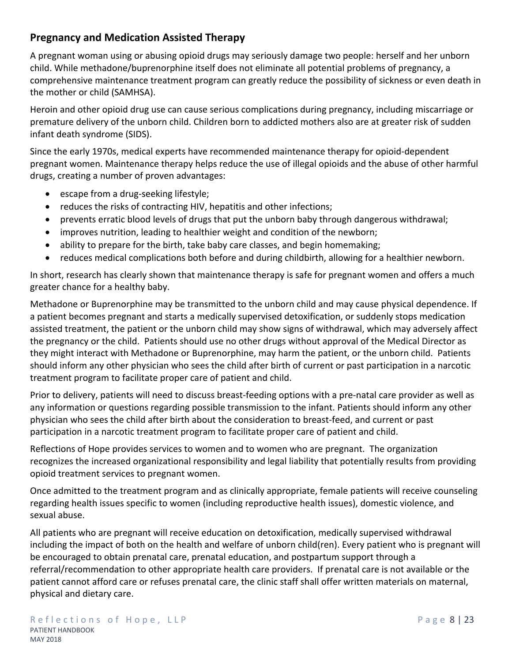# **Pregnancy and Medication Assisted Therapy**

A pregnant woman using or abusing opioid drugs may seriously damage two people: herself and her unborn child. While methadone/buprenorphine itself does not eliminate all potential problems of pregnancy, a comprehensive maintenance treatment program can greatly reduce the possibility of sickness or even death in the mother or child (SAMHSA).

Heroin and other opioid drug use can cause serious complications during pregnancy, including miscarriage or premature delivery of the unborn child. Children born to addicted mothers also are at greater risk of sudden infant death syndrome (SIDS).

Since the early 1970s, medical experts have recommended maintenance therapy for opioid-dependent pregnant women. Maintenance therapy helps reduce the use of illegal opioids and the abuse of other harmful drugs, creating a number of proven advantages:

- escape from a drug-seeking lifestyle;
- reduces the risks of contracting HIV, hepatitis and other infections;
- prevents erratic blood levels of drugs that put the unborn baby through dangerous withdrawal;
- improves nutrition, leading to healthier weight and condition of the newborn;
- ability to prepare for the birth, take baby care classes, and begin homemaking;
- reduces medical complications both before and during childbirth, allowing for a healthier newborn.

In short, research has clearly shown that maintenance therapy is safe for pregnant women and offers a much greater chance for a healthy baby.

Methadone or Buprenorphine may be transmitted to the unborn child and may cause physical dependence. If a patient becomes pregnant and starts a medically supervised detoxification, or suddenly stops medication assisted treatment, the patient or the unborn child may show signs of withdrawal, which may adversely affect the pregnancy or the child. Patients should use no other drugs without approval of the Medical Director as they might interact with Methadone or Buprenorphine, may harm the patient, or the unborn child. Patients should inform any other physician who sees the child after birth of current or past participation in a narcotic treatment program to facilitate proper care of patient and child.

Prior to delivery, patients will need to discuss breast-feeding options with a pre-natal care provider as well as any information or questions regarding possible transmission to the infant. Patients should inform any other physician who sees the child after birth about the consideration to breast-feed, and current or past participation in a narcotic treatment program to facilitate proper care of patient and child.

Reflections of Hope provides services to women and to women who are pregnant. The organization recognizes the increased organizational responsibility and legal liability that potentially results from providing opioid treatment services to pregnant women.

Once admitted to the treatment program and as clinically appropriate, female patients will receive counseling regarding health issues specific to women (including reproductive health issues), domestic violence, and sexual abuse.

All patients who are pregnant will receive education on detoxification, medically supervised withdrawal including the impact of both on the health and welfare of unborn child(ren). Every patient who is pregnant will be encouraged to obtain prenatal care, prenatal education, and postpartum support through a referral/recommendation to other appropriate health care providers. If prenatal care is not available or the patient cannot afford care or refuses prenatal care, the clinic staff shall offer written materials on maternal, physical and dietary care.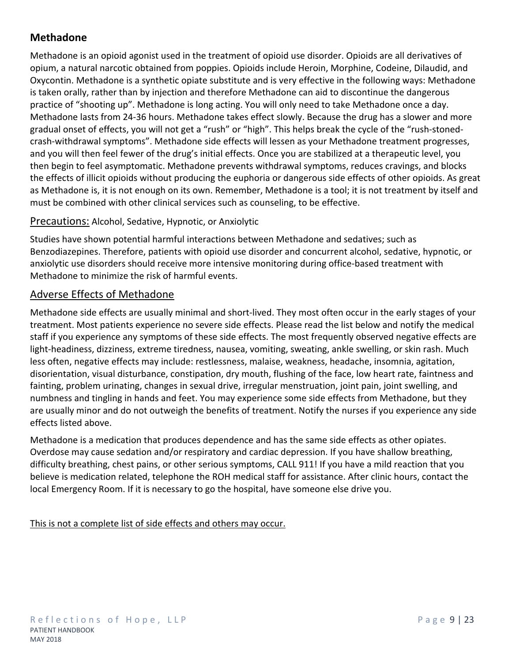# **Methadone**

Methadone is an opioid agonist used in the treatment of opioid use disorder. Opioids are all derivatives of opium, a natural narcotic obtained from poppies. Opioids include Heroin, Morphine, Codeine, Dilaudid, and Oxycontin. Methadone is a synthetic opiate substitute and is very effective in the following ways: Methadone is taken orally, rather than by injection and therefore Methadone can aid to discontinue the dangerous practice of "shooting up". Methadone is long acting. You will only need to take Methadone once a day. Methadone lasts from 24-36 hours. Methadone takes effect slowly. Because the drug has a slower and more gradual onset of effects, you will not get a "rush" or "high". This helps break the cycle of the "rush-stonedcrash-withdrawal symptoms". Methadone side effects will lessen as your Methadone treatment progresses, and you will then feel fewer of the drug's initial effects. Once you are stabilized at a therapeutic level, you then begin to feel asymptomatic. Methadone prevents withdrawal symptoms, reduces cravings, and blocks the effects of illicit opioids without producing the euphoria or dangerous side effects of other opioids. As great as Methadone is, it is not enough on its own. Remember, Methadone is a tool; it is not treatment by itself and must be combined with other clinical services such as counseling, to be effective.

#### Precautions: Alcohol, Sedative, Hypnotic, or Anxiolytic

Studies have shown potential harmful interactions between Methadone and sedatives; such as Benzodiazepines. Therefore, patients with opioid use disorder and concurrent alcohol, sedative, hypnotic, or anxiolytic use disorders should receive more intensive monitoring during office-based treatment with Methadone to minimize the risk of harmful events.

## Adverse Effects of Methadone

Methadone side effects are usually minimal and short-lived. They most often occur in the early stages of your treatment. Most patients experience no severe side effects. Please read the list below and notify the medical staff if you experience any symptoms of these side effects. The most frequently observed negative effects are light-headiness, dizziness, extreme tiredness, nausea, vomiting, sweating, ankle swelling, or skin rash. Much less often, negative effects may include: restlessness, malaise, weakness, headache, insomnia, agitation, disorientation, visual disturbance, constipation, dry mouth, flushing of the face, low heart rate, faintness and fainting, problem urinating, changes in sexual drive, irregular menstruation, joint pain, joint swelling, and numbness and tingling in hands and feet. You may experience some side effects from Methadone, but they are usually minor and do not outweigh the benefits of treatment. Notify the nurses if you experience any side effects listed above.

Methadone is a medication that produces dependence and has the same side effects as other opiates. Overdose may cause sedation and/or respiratory and cardiac depression. If you have shallow breathing, difficulty breathing, chest pains, or other serious symptoms, CALL 911! If you have a mild reaction that you believe is medication related, telephone the ROH medical staff for assistance. After clinic hours, contact the local Emergency Room. If it is necessary to go the hospital, have someone else drive you.

This is not a complete list of side effects and others may occur.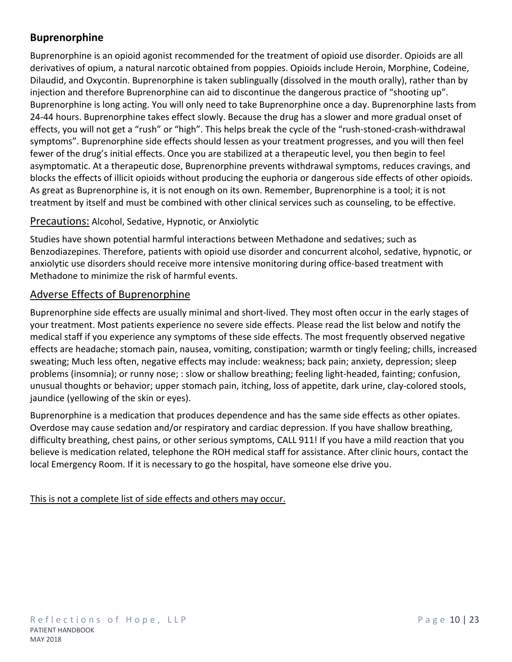# **Buprenorphine**

Buprenorphine is an opioid agonist recommended for the treatment of opioid use disorder. Opioids are all derivatives of opium, a natural narcotic obtained from poppies. Opioids include Heroin, Morphine, Codeine, Dilaudid, and Oxycontin. Buprenorphine is taken sublingually (dissolved in the mouth orally), rather than by injection and therefore Buprenorphine can aid to discontinue the dangerous practice of "shooting up". Buprenorphine is long acting. You will only need to take Buprenorphine once a day. Buprenorphine lasts from 24-44 hours. Buprenorphine takes effect slowly. Because the drug has a slower and more gradual onset of effects, you will not get a "rush" or "high". This helps break the cycle of the "rush-stoned-crash-withdrawal symptoms". Buprenorphine side effects should lessen as your treatment progresses, and you will then feel fewer of the drug's initial effects. Once you are stabilized at a therapeutic level, you then begin to feel asymptomatic. At a therapeutic dose, Buprenorphine prevents withdrawal symptoms, reduces cravings, and blocks the effects of illicit opioids without producing the euphoria or dangerous side effects of other opioids. As great as Buprenorphine is, it is not enough on its own. Remember, Buprenorphine is a tool; it is not treatment by itself and must be combined with other clinical services such as counseling, to be effective.

#### Precautions: Alcohol, Sedative, Hypnotic, or Anxiolytic

Studies have shown potential harmful interactions between Methadone and sedatives; such as Benzodiazepines. Therefore, patients with opioid use disorder and concurrent alcohol, sedative, hypnotic, or anxiolytic use disorders should receive more intensive monitoring during office-based treatment with Methadone to minimize the risk of harmful events.

### Adverse Effects of Buprenorphine

Buprenorphine side effects are usually minimal and short-lived. They most often occur in the early stages of your treatment. Most patients experience no severe side effects. Please read the list below and notify the medical staff if you experience any symptoms of these side effects. The most frequently observed negative effects are headache; stomach pain, nausea, vomiting, constipation; warmth or tingly feeling; chills, increased sweating; Much less often, negative effects may include: weakness; back pain; anxiety, depression; sleep problems (insomnia); or runny nose; : slow or shallow breathing; feeling light-headed, fainting; confusion, unusual thoughts or behavior; upper stomach pain, itching, loss of appetite, dark urine, clay-colored stools, jaundice (yellowing of the skin or eyes).

Buprenorphine is a medication that produces dependence and has the same side effects as other opiates. Overdose may cause sedation and/or respiratory and cardiac depression. If you have shallow breathing, difficulty breathing, chest pains, or other serious symptoms, CALL 911! If you have a mild reaction that you believe is medication related, telephone the ROH medical staff for assistance. After clinic hours, contact the local Emergency Room. If it is necessary to go the hospital, have someone else drive you.

This is not a complete list of side effects and others may occur.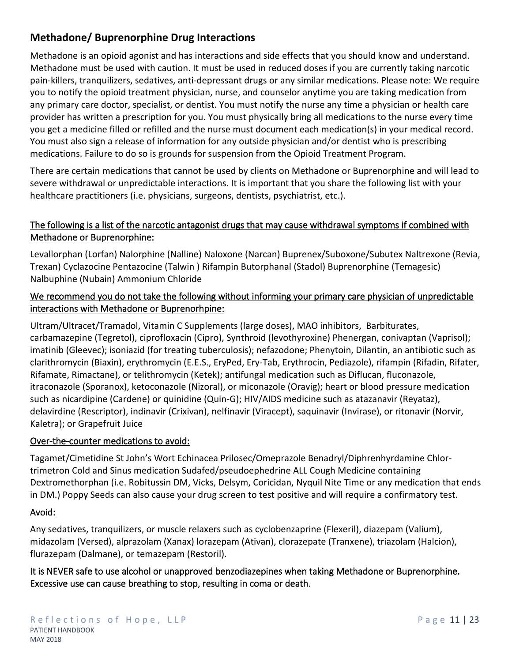# **Methadone/ Buprenorphine Drug Interactions**

Methadone is an opioid agonist and has interactions and side effects that you should know and understand. Methadone must be used with caution. It must be used in reduced doses if you are currently taking narcotic pain-killers, tranquilizers, sedatives, anti-depressant drugs or any similar medications. Please note: We require you to notify the opioid treatment physician, nurse, and counselor anytime you are taking medication from any primary care doctor, specialist, or dentist. You must notify the nurse any time a physician or health care provider has written a prescription for you. You must physically bring all medications to the nurse every time you get a medicine filled or refilled and the nurse must document each medication(s) in your medical record. You must also sign a release of information for any outside physician and/or dentist who is prescribing medications. Failure to do so is grounds for suspension from the Opioid Treatment Program.

There are certain medications that cannot be used by clients on Methadone or Buprenorphine and will lead to severe withdrawal or unpredictable interactions. It is important that you share the following list with your healthcare practitioners (i.e. physicians, surgeons, dentists, psychiatrist, etc.).

### **The following is a list of the narcotic antagonist drugs that may cause withdrawal symptoms if combined with Methadone or Buprenorphine:**

Levallorphan (Lorfan) Nalorphine (Nalline) Naloxone (Narcan) Buprenex/Suboxone/Subutex Naltrexone (Revia, Trexan) Cyclazocine Pentazocine (Talwin ) Rifampin Butorphanal (Stadol) Buprenorphine (Temagesic) Nalbuphine (Nubain) Ammonium Chloride

### **We recommend you do not take the following without informing your primary care physician of unpredictable interactions with Methadone or Buprenorhpine:**

Ultram/Ultracet/Tramadol, Vitamin C Supplements (large doses), MAO inhibitors, Barbiturates, carbamazepine (Tegretol), ciprofloxacin (Cipro), Synthroid (levothyroxine) Phenergan, conivaptan (Vaprisol); imatinib (Gleevec); isoniazid (for treating tuberculosis); nefazodone; Phenytoin, Dilantin, an antibiotic such as clarithromycin (Biaxin), erythromycin (E.E.S., EryPed, Ery-Tab, Erythrocin, Pediazole), rifampin (Rifadin, Rifater, Rifamate, Rimactane), or telithromycin (Ketek); antifungal medication such as Diflucan, fluconazole, itraconazole (Sporanox), ketoconazole (Nizoral), or miconazole (Oravig); heart or blood pressure medication such as nicardipine (Cardene) or quinidine (Quin-G); HIV/AIDS medicine such as atazanavir (Reyataz), delavirdine (Rescriptor), indinavir (Crixivan), nelfinavir (Viracept), saquinavir (Invirase), or ritonavir (Norvir, Kaletra); or Grapefruit Juice

### **Over-the-counter medications to avoid:**

Tagamet/Cimetidine St John's Wort Echinacea Prilosec/Omeprazole Benadryl/Diphrenhyrdamine Chlortrimetron Cold and Sinus medication Sudafed/pseudoephedrine ALL Cough Medicine containing Dextromethorphan (i.e. Robitussin DM, Vicks, Delsym, Coricidan, Nyquil Nite Time or any medication that ends in DM.) Poppy Seeds can also cause your drug screen to test positive and will require a confirmatory test.

#### **Avoid:**

Any sedatives, tranquilizers, or muscle relaxers such as cyclobenzaprine (Flexeril), diazepam (Valium), midazolam (Versed), alprazolam (Xanax) lorazepam (Ativan), clorazepate (Tranxene), triazolam (Halcion), flurazepam (Dalmane), or temazepam (Restoril).

**It is NEVER safe to use alcohol or unapproved benzodiazepines when taking Methadone or Buprenorphine. Excessive use can cause breathing to stop, resulting in coma or death.**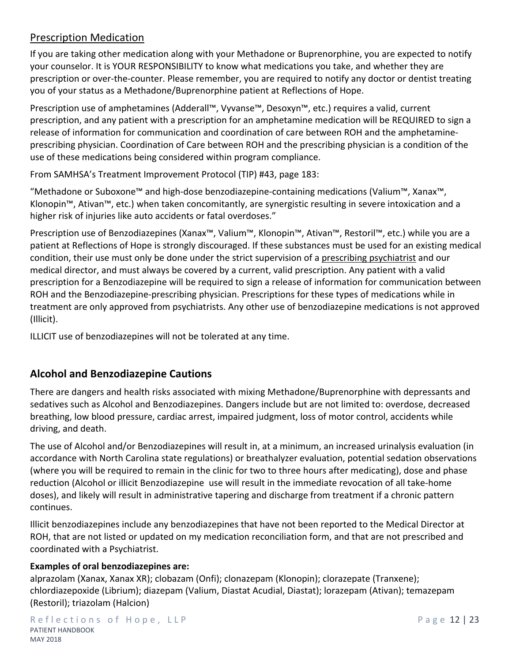# Prescription Medication

If you are taking other medication along with your Methadone or Buprenorphine, you are expected to notify your counselor. It is YOUR RESPONSIBILITY to know what medications you take, and whether they are prescription or over-the-counter. Please remember, you are required to notify any doctor or dentist treating you of your status as a Methadone/Buprenorphine patient at Reflections of Hope.

Prescription use of amphetamines (Adderall™, Vyvanse™, Desoxyn™, etc.) requires a valid, current prescription, and any patient with a prescription for an amphetamine medication will be REQUIRED to sign a release of information for communication and coordination of care between ROH and the amphetamineprescribing physician. Coordination of Care between ROH and the prescribing physician is a condition of the use of these medications being considered within program compliance.

From SAMHSA's Treatment Improvement Protocol (TIP) #43, page 183:

"Methadone or Suboxone™ and high-dose benzodiazepine-containing medications (Valium™, Xanax™, Klonopin™, Ativan™, etc.) when taken concomitantly, are synergistic resulting in severe intoxication and a higher risk of injuries like auto accidents or fatal overdoses."

Prescription use of Benzodiazepines (Xanax™, Valium™, Klonopin™, Ativan™, Restoril™, etc.) while you are a patient at Reflections of Hope is strongly discouraged. If these substances must be used for an existing medical condition, their use must only be done under the strict supervision of a prescribing psychiatrist and our medical director, and must always be covered by a current, valid prescription. Any patient with a valid prescription for a Benzodiazepine will be required to sign a release of information for communication between ROH and the Benzodiazepine-prescribing physician. Prescriptions for these types of medications while in treatment are only approved from psychiatrists. Any other use of benzodiazepine medications is not approved (Illicit).

ILLICIT use of benzodiazepines will not be tolerated at any time.

# **Alcohol and Benzodiazepine Cautions**

There are dangers and health risks associated with mixing Methadone/Buprenorphine with depressants and sedatives such as Alcohol and Benzodiazepines. Dangers include but are not limited to: overdose, decreased breathing, low blood pressure, cardiac arrest, impaired judgment, loss of motor control, accidents while driving, and death.

The use of Alcohol and/or Benzodiazepines will result in, at a minimum, an increased urinalysis evaluation (in accordance with North Carolina state regulations) or breathalyzer evaluation, potential sedation observations (where you will be required to remain in the clinic for two to three hours after medicating), dose and phase reduction (Alcohol or illicit Benzodiazepine use will result in the immediate revocation of all take-home doses), and likely will result in administrative tapering and discharge from treatment if a chronic pattern continues.

Illicit benzodiazepines include any benzodiazepines that have not been reported to the Medical Director at ROH, that are not listed or updated on my medication reconciliation form, and that are not prescribed and coordinated with a Psychiatrist.

#### **Examples of oral benzodiazepines are:**

alprazolam (Xanax, Xanax XR); clobazam (Onfi); clonazepam (Klonopin); clorazepate (Tranxene); chlordiazepoxide (Librium); diazepam (Valium, Diastat Acudial, Diastat); lorazepam (Ativan); temazepam (Restoril); triazolam (Halcion)

Reflections of Hope, LLP Page 12 | 23 PATIENT HANDBOOK MAY 2018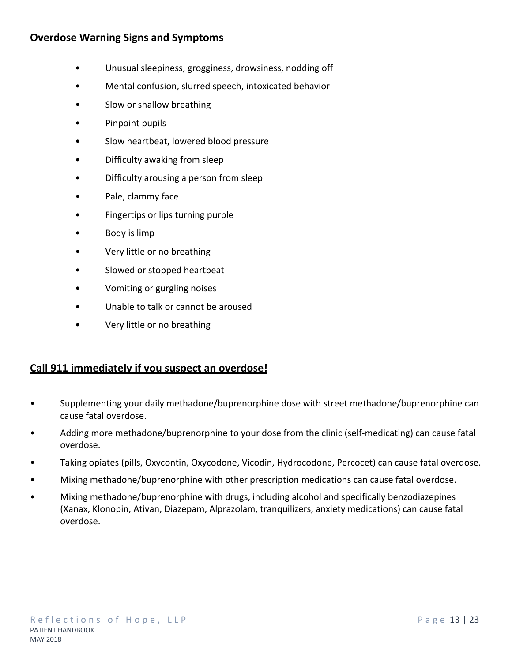# **Overdose Warning Signs and Symptoms**

- Unusual sleepiness, grogginess, drowsiness, nodding off
- Mental confusion, slurred speech, intoxicated behavior
- Slow or shallow breathing
- Pinpoint pupils
- Slow heartbeat, lowered blood pressure
- Difficulty awaking from sleep
- Difficulty arousing a person from sleep
- Pale, clammy face
- Fingertips or lips turning purple
- Body is limp
- Very little or no breathing
- Slowed or stopped heartbeat
- Vomiting or gurgling noises
- Unable to talk or cannot be aroused
- Very little or no breathing

### **Call 911 immediately if you suspect an overdose!**

- Supplementing your daily methadone/buprenorphine dose with street methadone/buprenorphine can cause fatal overdose.
- Adding more methadone/buprenorphine to your dose from the clinic (self-medicating) can cause fatal overdose.
- Taking opiates (pills, Oxycontin, Oxycodone, Vicodin, Hydrocodone, Percocet) can cause fatal overdose.
- Mixing methadone/buprenorphine with other prescription medications can cause fatal overdose.
- Mixing methadone/buprenorphine with drugs, including alcohol and specifically benzodiazepines (Xanax, Klonopin, Ativan, Diazepam, Alprazolam, tranquilizers, anxiety medications) can cause fatal overdose.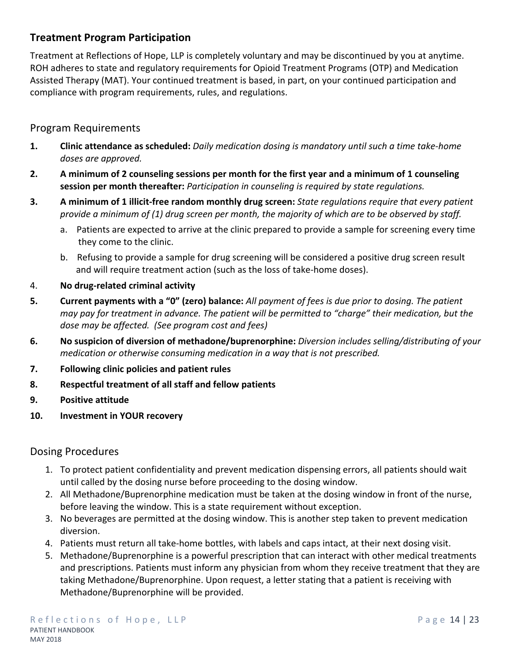# **Treatment Program Participation**

Treatment at Reflections of Hope, LLP is completely voluntary and may be discontinued by you at anytime. ROH adheres to state and regulatory requirements for Opioid Treatment Programs (OTP) and Medication Assisted Therapy (MAT). Your continued treatment is based, in part, on your continued participation and compliance with program requirements, rules, and regulations.

## Program Requirements

- **1. Clinic attendance as scheduled:** *Daily medication dosing is mandatory until such a time take-home doses are approved.*
- **2. A minimum of 2 counseling sessions per month for the first year and a minimum of 1 counseling session per month thereafter:** *Participation in counseling is required by state regulations.*
- **3. A minimum of 1 illicit-free random monthly drug screen:** *State regulations require that every patient provide a minimum of (1) drug screen per month, the majority of which are to be observed by staff.*
	- a. Patients are expected to arrive at the clinic prepared to provide a sample for screening every time they come to the clinic.
	- b. Refusing to provide a sample for drug screening will be considered a positive drug screen result and will require treatment action (such as the loss of take-home doses).
- 4. **No drug-related criminal activity**
- **5. Current payments with a "0" (zero) balance:** *All payment of fees is due prior to dosing. The patient may pay for treatment in advance. The patient will be permitted to "charge" their medication, but the dose may be affected. (See program cost and fees)*
- **6. No suspicion of diversion of methadone/buprenorphine:** *Diversion includes selling/distributing of your medication or otherwise consuming medication in a way that is not prescribed.*
- **7. Following clinic policies and patient rules**
- **8. Respectful treatment of all staff and fellow patients**
- **9. Positive attitude**
- **10. Investment in YOUR recovery**

### Dosing Procedures

- 1. To protect patient confidentiality and prevent medication dispensing errors, all patients should wait until called by the dosing nurse before proceeding to the dosing window.
- 2. All Methadone/Buprenorphine medication must be taken at the dosing window in front of the nurse, before leaving the window. This is a state requirement without exception.
- 3. No beverages are permitted at the dosing window. This is another step taken to prevent medication diversion.
- 4. Patients must return all take-home bottles, with labels and caps intact, at their next dosing visit.
- 5. Methadone/Buprenorphine is a powerful prescription that can interact with other medical treatments and prescriptions. Patients must inform any physician from whom they receive treatment that they are taking Methadone/Buprenorphine. Upon request, a letter stating that a patient is receiving with Methadone/Buprenorphine will be provided.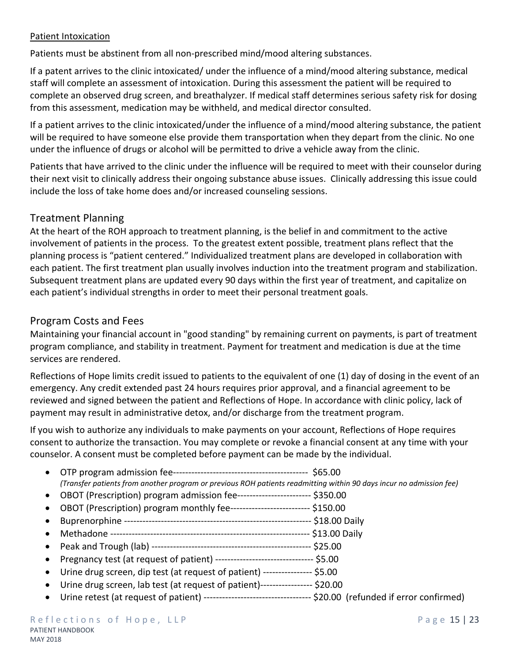#### **Patient Intoxication**

Patients must be abstinent from all non-prescribed mind/mood altering substances.

If a patent arrives to the clinic intoxicated/ under the influence of a mind/mood altering substance, medical staff will complete an assessment of intoxication. During this assessment the patient will be required to complete an observed drug screen, and breathalyzer. If medical staff determines serious safety risk for dosing from this assessment, medication may be withheld, and medical director consulted.

If a patient arrives to the clinic intoxicated/under the influence of a mind/mood altering substance, the patient will be required to have someone else provide them transportation when they depart from the clinic. No one under the influence of drugs or alcohol will be permitted to drive a vehicle away from the clinic.

Patients that have arrived to the clinic under the influence will be required to meet with their counselor during their next visit to clinically address their ongoing substance abuse issues. Clinically addressing this issue could include the loss of take home does and/or increased counseling sessions.

### Treatment Planning

At the heart of the ROH approach to treatment planning, is the belief in and commitment to the active involvement of patients in the process. To the greatest extent possible, treatment plans reflect that the planning process is "patient centered." Individualized treatment plans are developed in collaboration with each patient. The first treatment plan usually involves induction into the treatment program and stabilization. Subsequent treatment plans are updated every 90 days within the first year of treatment, and capitalize on each patient's individual strengths in order to meet their personal treatment goals.

## Program Costs and Fees

Maintaining your financial account in "good standing" by remaining current on payments, is part of treatment program compliance, and stability in treatment. Payment for treatment and medication is due at the time services are rendered.

Reflections of Hope limits credit issued to patients to the equivalent of one (1) day of dosing in the event of an emergency. Any credit extended past 24 hours requires prior approval, and a financial agreement to be reviewed and signed between the patient and Reflections of Hope. In accordance with clinic policy, lack of payment may result in administrative detox, and/or discharge from the treatment program.

If you wish to authorize any individuals to make payments on your account, Reflections of Hope requires consent to authorize the transaction. You may complete or revoke a financial consent at any time with your counselor. A consent must be completed before payment can be made by the individual.

- OTP program admission fee-------------------------------------------- \$65.00 *(Transfer patients from another program or previous ROH patients readmitting within 90 days incur no admission fee)*
- OBOT (Prescription) program admission fee------------------------ \$350.00
- OBOT (Prescription) program monthly fee-------------------------- \$150.00
- Buprenorphine ------------------------------------------------------------- \$18.00 Daily
- Methadone ----------------------------------------------------------------- \$13.00 Daily
- Peak and Trough (lab) ---------------------------------------------------- \$25.00
- Pregnancy test (at request of patient) --------------------------------- \$5.00
- Urine drug screen, dip test (at request of patient) ---------------- \$5.00
- Urine drug screen, lab test (at request of patient)----------------- \$20.00
- Urine retest (at request of patient) ----------------------------------- \$20.00 (refunded if error confirmed)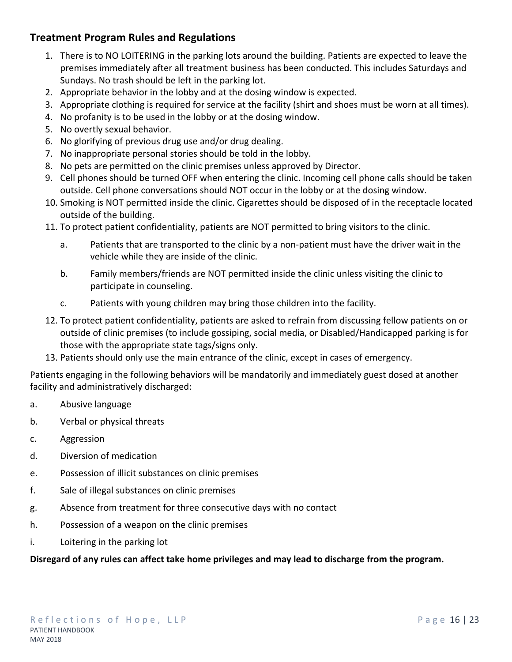# **Treatment Program Rules and Regulations**

- 1. There is to NO LOITERING in the parking lots around the building. Patients are expected to leave the premises immediately after all treatment business has been conducted. This includes Saturdays and Sundays. No trash should be left in the parking lot.
- 2. Appropriate behavior in the lobby and at the dosing window is expected.
- 3. Appropriate clothing is required for service at the facility (shirt and shoes must be worn at all times).
- 4. No profanity is to be used in the lobby or at the dosing window.
- 5. No overtly sexual behavior.
- 6. No glorifying of previous drug use and/or drug dealing.
- 7. No inappropriate personal stories should be told in the lobby.
- 8. No pets are permitted on the clinic premises unless approved by Director.
- 9. Cell phones should be turned OFF when entering the clinic. Incoming cell phone calls should be taken outside. Cell phone conversations should NOT occur in the lobby or at the dosing window.
- 10. Smoking is NOT permitted inside the clinic. Cigarettes should be disposed of in the receptacle located outside of the building.
- 11. To protect patient confidentiality, patients are NOT permitted to bring visitors to the clinic.
	- a. Patients that are transported to the clinic by a non-patient must have the driver wait in the vehicle while they are inside of the clinic.
	- b. Family members/friends are NOT permitted inside the clinic unless visiting the clinic to participate in counseling.
	- c. Patients with young children may bring those children into the facility.
- 12. To protect patient confidentiality, patients are asked to refrain from discussing fellow patients on or outside of clinic premises (to include gossiping, social media, or Disabled/Handicapped parking is for those with the appropriate state tags/signs only.
- 13. Patients should only use the main entrance of the clinic, except in cases of emergency.

Patients engaging in the following behaviors will be mandatorily and immediately guest dosed at another facility and administratively discharged:

- a. Abusive language
- b. Verbal or physical threats
- c. Aggression
- d. Diversion of medication
- e. Possession of illicit substances on clinic premises
- f. Sale of illegal substances on clinic premises
- g. Absence from treatment for three consecutive days with no contact
- h. Possession of a weapon on the clinic premises
- i. Loitering in the parking lot

#### **Disregard of any rules can affect take home privileges and may lead to discharge from the program.**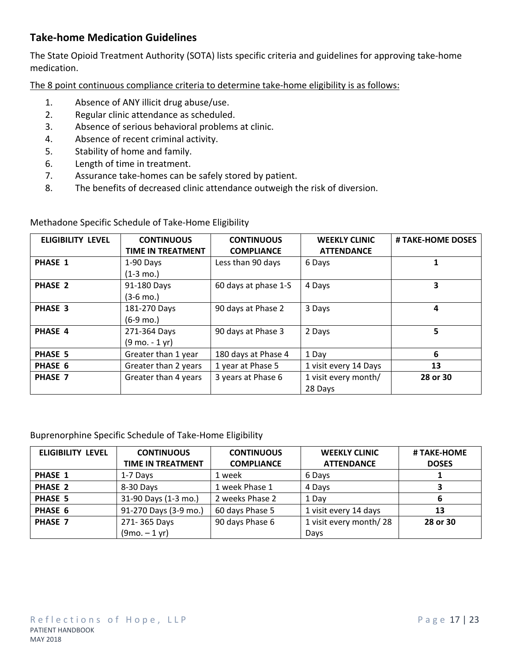# **Take-home Medication Guidelines**

The State Opioid Treatment Authority (SOTA) lists specific criteria and guidelines for approving take-home medication.

The 8 point continuous compliance criteria to determine take-home eligibility is as follows:

- 1. Absence of ANY illicit drug abuse/use.
- 2. Regular clinic attendance as scheduled.
- 3. Absence of serious behavioral problems at clinic.
- 4. Absence of recent criminal activity.
- 5. Stability of home and family.
- 6. Length of time in treatment.
- 7. Assurance take-homes can be safely stored by patient.
- 8. The benefits of decreased clinic attendance outweigh the risk of diversion.

Methadone Specific Schedule of Take-Home Eligibility

| <b>ELIGIBILITY LEVEL</b> | <b>CONTINUOUS</b><br><b>TIME IN TREATMENT</b>    | <b>CONTINUOUS</b><br><b>COMPLIANCE</b> | <b>WEEKLY CLINIC</b><br><b>ATTENDANCE</b> | # TAKE-HOME DOSES |
|--------------------------|--------------------------------------------------|----------------------------------------|-------------------------------------------|-------------------|
| <b>PHASE 1</b>           | 1-90 Days<br>$(1-3 \text{ mo.})$                 | Less than 90 days                      | 6 Days                                    |                   |
| <b>PHASE 2</b>           | 91-180 Days<br>$(3-6 \text{ mo.})$               | 60 days at phase 1-S                   | 4 Days                                    | 3                 |
| PHASE 3                  | 181-270 Days<br>$(6-9 \text{ mo.})$              | 90 days at Phase 2                     | 3 Days                                    | 4                 |
| <b>PHASE 4</b>           | 271-364 Days<br>$(9 \text{ mo.} - 1 \text{ yr})$ | 90 days at Phase 3                     | 2 Days                                    | 5                 |
| PHASE 5                  | Greater than 1 year                              | 180 days at Phase 4                    | 1 Day                                     | 6                 |
| PHASE 6                  | Greater than 2 years                             | 1 year at Phase 5                      | 1 visit every 14 Days                     | 13                |
| <b>PHASE 7</b>           | Greater than 4 years                             | 3 years at Phase 6                     | 1 visit every month/<br>28 Days           | 28 or 30          |

#### Buprenorphine Specific Schedule of Take-Home Eligibility

| <b>ELIGIBILITY LEVEL</b> | <b>CONTINUOUS</b>        | <b>CONTINUOUS</b> | <b>WEEKLY CLINIC</b>   | # TAKE-HOME  |
|--------------------------|--------------------------|-------------------|------------------------|--------------|
|                          | <b>TIME IN TREATMENT</b> | <b>COMPLIANCE</b> | <b>ATTENDANCE</b>      | <b>DOSES</b> |
| <b>PHASE 1</b>           | 1-7 Days                 | 1 week            | 6 Days                 |              |
| <b>PHASE 2</b>           | 8-30 Days                | 1 week Phase 1    | 4 Days                 | 3            |
| <b>PHASE 5</b>           | 31-90 Days (1-3 mo.)     | 2 weeks Phase 2   | 1 Day                  | 6            |
| PHASE 6                  | 91-270 Days (3-9 mo.)    | 60 days Phase 5   | 1 visit every 14 days  | 13           |
| <b>PHASE 7</b>           | 271-365 Days             | 90 days Phase 6   | 1 visit every month/28 | 28 or 30     |
|                          | $(9mo. - 1 yr)$          |                   | Days                   |              |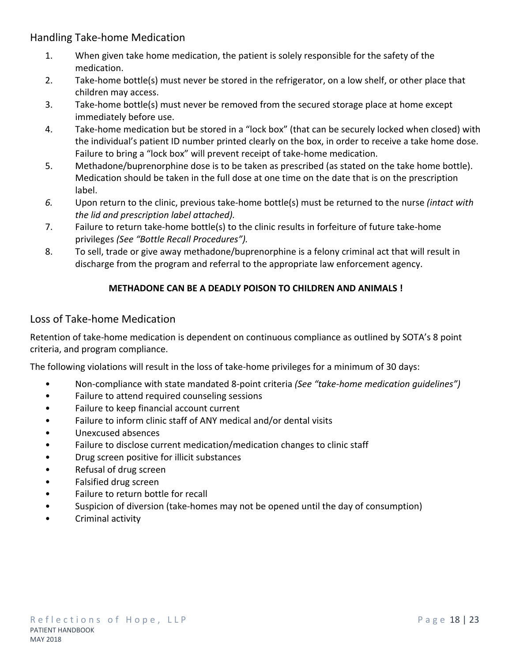Handling Take-home Medication

- 1. When given take home medication, the patient is solely responsible for the safety of the medication.
- 2. Take-home bottle(s) must never be stored in the refrigerator, on a low shelf, or other place that children may access.
- 3. Take-home bottle(s) must never be removed from the secured storage place at home except immediately before use.
- 4. Take-home medication but be stored in a "lock box" (that can be securely locked when closed) with the individual's patient ID number printed clearly on the box, in order to receive a take home dose. Failure to bring a "lock box" will prevent receipt of take-home medication.
- 5. Methadone/buprenorphine dose is to be taken as prescribed (as stated on the take home bottle). Medication should be taken in the full dose at one time on the date that is on the prescription label.
- *6.* Upon return to the clinic, previous take-home bottle(s) must be returned to the nurse *(intact with the lid and prescription label attached).*
- 7. Failure to return take-home bottle(s) to the clinic results in forfeiture of future take-home privileges *(See "Bottle Recall Procedures").*
- 8. To sell, trade or give away methadone/buprenorphine is a felony criminal act that will result in discharge from the program and referral to the appropriate law enforcement agency.

### **METHADONE CAN BE A DEADLY POISON TO CHILDREN AND ANIMALS !**

### Loss of Take-home Medication

Retention of take-home medication is dependent on continuous compliance as outlined by SOTA's 8 point criteria, and program compliance.

The following violations will result in the loss of take-home privileges for a minimum of 30 days:

- Non-compliance with state mandated 8-point criteria *(See "take-home medication guidelines")*
- Failure to attend required counseling sessions
- Failure to keep financial account current
- Failure to inform clinic staff of ANY medical and/or dental visits
- Unexcused absences
- Failure to disclose current medication/medication changes to clinic staff
- Drug screen positive for illicit substances
- Refusal of drug screen
- Falsified drug screen
- Failure to return bottle for recall
- Suspicion of diversion (take-homes may not be opened until the day of consumption)
- Criminal activity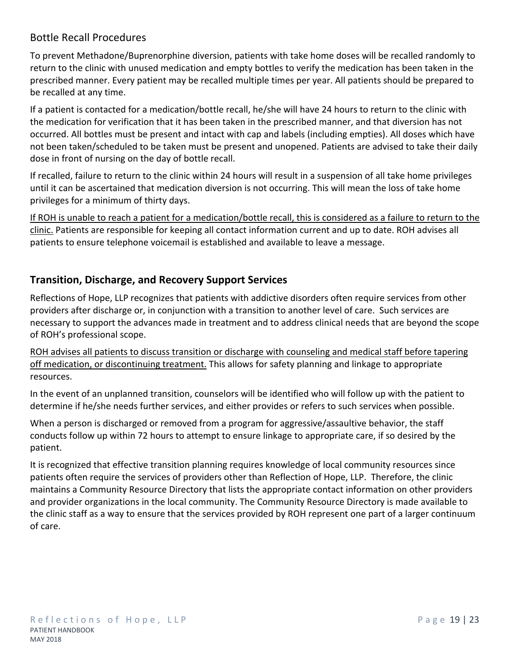# Bottle Recall Procedures

To prevent Methadone/Buprenorphine diversion, patients with take home doses will be recalled randomly to return to the clinic with unused medication and empty bottles to verify the medication has been taken in the prescribed manner. Every patient may be recalled multiple times per year. All patients should be prepared to be recalled at any time.

If a patient is contacted for a medication/bottle recall, he/she will have 24 hours to return to the clinic with the medication for verification that it has been taken in the prescribed manner, and that diversion has not occurred. All bottles must be present and intact with cap and labels (including empties). All doses which have not been taken/scheduled to be taken must be present and unopened. Patients are advised to take their daily dose in front of nursing on the day of bottle recall.

If recalled, failure to return to the clinic within 24 hours will result in a suspension of all take home privileges until it can be ascertained that medication diversion is not occurring. This will mean the loss of take home privileges for a minimum of thirty days.

If ROH is unable to reach a patient for a medication/bottle recall, this is considered as a failure to return to the clinic. Patients are responsible for keeping all contact information current and up to date. ROH advises all patients to ensure telephone voicemail is established and available to leave a message.

# **Transition, Discharge, and Recovery Support Services**

Reflections of Hope, LLP recognizes that patients with addictive disorders often require services from other providers after discharge or, in conjunction with a transition to another level of care. Such services are necessary to support the advances made in treatment and to address clinical needs that are beyond the scope of ROH's professional scope.

ROH advises all patients to discuss transition or discharge with counseling and medical staff before tapering off medication, or discontinuing treatment. This allows for safety planning and linkage to appropriate resources.

In the event of an unplanned transition, counselors will be identified who will follow up with the patient to determine if he/she needs further services, and either provides or refers to such services when possible.

When a person is discharged or removed from a program for aggressive/assaultive behavior, the staff conducts follow up within 72 hours to attempt to ensure linkage to appropriate care, if so desired by the patient.

It is recognized that effective transition planning requires knowledge of local community resources since patients often require the services of providers other than Reflection of Hope, LLP. Therefore, the clinic maintains a Community Resource Directory that lists the appropriate contact information on other providers and provider organizations in the local community. The Community Resource Directory is made available to the clinic staff as a way to ensure that the services provided by ROH represent one part of a larger continuum of care.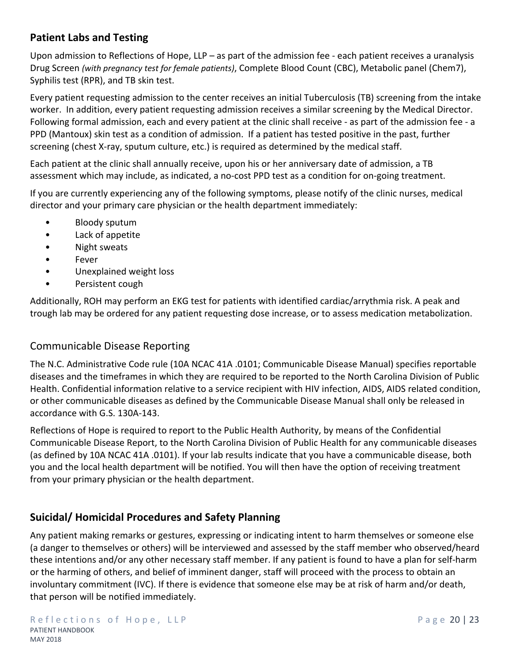# **Patient Labs and Testing**

Upon admission to Reflections of Hope, LLP – as part of the admission fee - each patient receives a uranalysis Drug Screen *(with pregnancy test for female patients)*, Complete Blood Count (CBC), Metabolic panel (Chem7), Syphilis test (RPR), and TB skin test.

Every patient requesting admission to the center receives an initial Tuberculosis (TB) screening from the intake worker. In addition, every patient requesting admission receives a similar screening by the Medical Director. Following formal admission, each and every patient at the clinic shall receive - as part of the admission fee - a PPD (Mantoux) skin test as a condition of admission. If a patient has tested positive in the past, further screening (chest X-ray, sputum culture, etc.) is required as determined by the medical staff.

Each patient at the clinic shall annually receive, upon his or her anniversary date of admission, a TB assessment which may include, as indicated, a no-cost PPD test as a condition for on-going treatment.

If you are currently experiencing any of the following symptoms, please notify of the clinic nurses, medical director and your primary care physician or the health department immediately:

- Bloody sputum
- Lack of appetite
- Night sweats
- Fever
- Unexplained weight loss
- Persistent cough

Additionally, ROH may perform an EKG test for patients with identified cardiac/arrythmia risk. A peak and trough lab may be ordered for any patient requesting dose increase, or to assess medication metabolization.

# Communicable Disease Reporting

The N.C. Administrative Code rule (10A NCAC 41A .0101; Communicable Disease Manual) specifies reportable diseases and the timeframes in which they are required to be reported to the North Carolina Division of Public Health. Confidential information relative to a service recipient with HIV infection, AIDS, AIDS related condition, or other communicable diseases as defined by the Communicable Disease Manual shall only be released in accordance with G.S. 130A-143.

Reflections of Hope is required to report to the Public Health Authority, by means of the Confidential Communicable Disease Report, to the North Carolina Division of Public Health for any communicable diseases (as defined by 10A NCAC 41A .0101). If your lab results indicate that you have a communicable disease, both you and the local health department will be notified. You will then have the option of receiving treatment from your primary physician or the health department.

# **Suicidal/ Homicidal Procedures and Safety Planning**

Any patient making remarks or gestures, expressing or indicating intent to harm themselves or someone else (a danger to themselves or others) will be interviewed and assessed by the staff member who observed/heard these intentions and/or any other necessary staff member. If any patient is found to have a plan for self-harm or the harming of others, and belief of imminent danger, staff will proceed with the process to obtain an involuntary commitment (IVC). If there is evidence that someone else may be at risk of harm and/or death, that person will be notified immediately.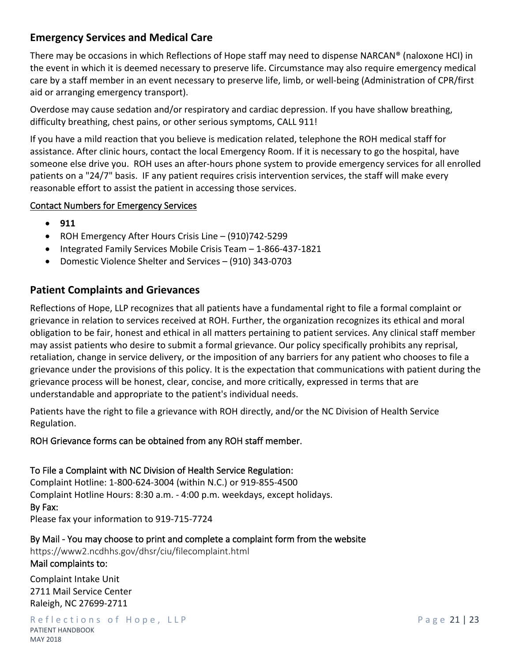# **Emergency Services and Medical Care**

There may be occasions in which Reflections of Hope staff may need to dispense NARCAN® (naloxone HCI) in the event in which it is deemed necessary to preserve life. Circumstance may also require emergency medical care by a staff member in an event necessary to preserve life, limb, or well-being (Administration of CPR/first aid or arranging emergency transport).

Overdose may cause sedation and/or respiratory and cardiac depression. If you have shallow breathing, difficulty breathing, chest pains, or other serious symptoms, CALL 911!

If you have a mild reaction that you believe is medication related, telephone the ROH medical staff for assistance. After clinic hours, contact the local Emergency Room. If it is necessary to go the hospital, have someone else drive you. ROH uses an after-hours phone system to provide emergency services for all enrolled patients on a "24/7" basis. IF any patient requires crisis intervention services, the staff will make every reasonable effort to assist the patient in accessing those services.

#### **Contact Numbers for Emergency Services**

- **911**
- ROH Emergency After Hours Crisis Line (910)742-5299
- Integrated Family Services Mobile Crisis Team 1-866-437-1821
- Domestic Violence Shelter and Services (910) 343-0703

## **Patient Complaints and Grievances**

Reflections of Hope, LLP recognizes that all patients have a fundamental right to file a formal complaint or grievance in relation to services received at ROH. Further, the organization recognizes its ethical and moral obligation to be fair, honest and ethical in all matters pertaining to patient services. Any clinical staff member may assist patients who desire to submit a formal grievance. Our policy specifically prohibits any reprisal, retaliation, change in service delivery, or the imposition of any barriers for any patient who chooses to file a grievance under the provisions of this policy. It is the expectation that communications with patient during the grievance process will be honest, clear, concise, and more critically, expressed in terms that are understandable and appropriate to the patient's individual needs.

Patients have the right to file a grievance with ROH directly, and/or the NC Division of Health Service Regulation.

#### **ROH Grievance forms can be obtained from any ROH staff member.**

**To File a Complaint with NC Division of Health Service Regulation:**  Complaint Hotline: 1-800-624-3004 (within N.C.) or 919-855-4500 Complaint Hotline Hours: 8:30 a.m. - 4:00 p.m. weekdays, except holidays. **By Fax:** Please fax your information to 919-715-7724

**By Mail - You may choose to print and complete a complaint form from the website**  https://www2.ncdhhs.gov/dhsr/ciu/filecomplaint.html **Mail complaints to:**

Complaint Intake Unit 2711 Mail Service Center Raleigh, NC 27699-2711

Reflections of Hope, LLP Page 21 | 23 PATIENT HANDBOOK MAY 2018